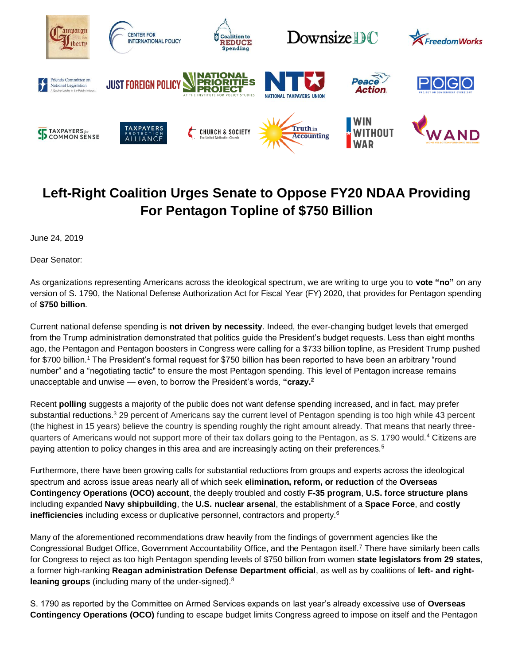

## **Left-Right Coalition Urges Senate to Oppose FY20 NDAA Providing For Pentagon Topline of \$750 Billion**

June 24, 2019

Dear Senator:

As organizations representing Americans across the ideological spectrum, we are writing to urge you to **vote "no"** on any version of S. 1790, the National Defense Authorization Act for Fiscal Year (FY) 2020, that provides for Pentagon spending of **\$750 billion**.

Current national defense spending is **not driven by necessity**. Indeed, the ever-changing budget levels that emerged from the Trump administration demonstrated that politics guide the President's budget requests. Less than eight months ago, the Pentagon and Pentagon boosters in Congress were calling for a \$733 billion topline, as President Trump pushed for \$700 billion.<sup>1</sup> The President's formal request for \$750 billion has been reported to have been an arbitrary "round number" and a "negotiating tactic" to ensure the most Pentagon spending. This level of Pentagon increase remains unacceptable and unwise — even, to borrow the President's words, **"crazy.<sup>2</sup>**

Recent **polling** suggests a majority of the public does not want defense spending increased, and in fact, may prefer substantial reductions.<sup>3</sup> 29 percent of Americans say the current level of Pentagon spending is too high while 43 percent (the highest in 15 years) believe the country is spending roughly the right amount already. That means that nearly threequarters of Americans would not support more of their tax dollars going to the Pentagon, as S. 1790 would.<sup>4</sup> Citizens are paying attention to policy changes in this area and are increasingly acting on their preferences.<sup>5</sup>

Furthermore, there have been growing calls for substantial reductions from groups and experts across the ideological spectrum and across issue areas nearly all of which seek **elimination, reform, or reduction** of the **Overseas Contingency Operations (OCO) account**, the deeply troubled and costly **F-35 program**, **U.S. force structure plans** including expanded **Navy shipbuilding**, the **U.S. nuclear arsenal**, the establishment of a **Space Force**, and **costly inefficiencies** including excess or duplicative personnel, contractors and property.<sup>6</sup>

Many of the aforementioned recommendations draw heavily from the findings of government agencies like the Congressional Budget Office, Government Accountability Office, and the Pentagon itself.<sup>7</sup> There have similarly been calls for Congress to reject as too high Pentagon spending levels of \$750 billion from women **state legislators from 29 states**, a former high-ranking **Reagan administration Defense Department official**, as well as by coalitions of **left- and rightleaning groups** (including many of the under-signed).<sup>8</sup>

S. 1790 as reported by the Committee on Armed Services expands on last year's already excessive use of **Overseas Contingency Operations (OCO)** funding to escape budget limits Congress agreed to impose on itself and the Pentagon